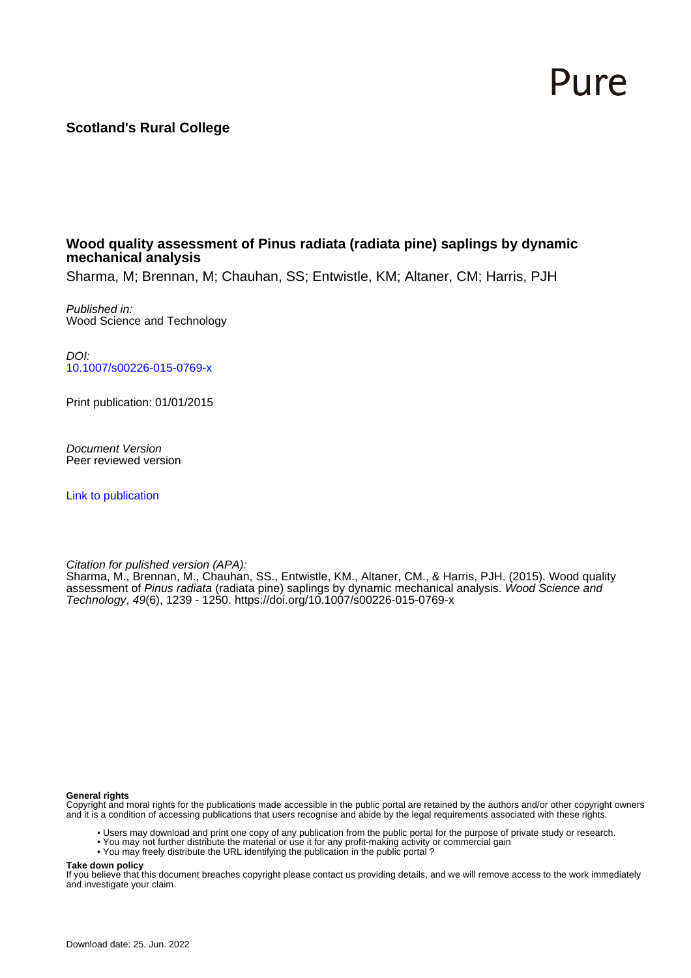# Pure

### **Scotland's Rural College**

#### **Wood quality assessment of Pinus radiata (radiata pine) saplings by dynamic mechanical analysis**

Sharma, M; Brennan, M; Chauhan, SS; Entwistle, KM; Altaner, CM; Harris, PJH

Published in: Wood Science and Technology

DOI: [10.1007/s00226-015-0769-x](https://doi.org/10.1007/s00226-015-0769-x)

Print publication: 01/01/2015

Document Version Peer reviewed version

[Link to publication](https://pure.sruc.ac.uk/en/publications/de9f39b8-339e-45c4-ad74-2e75262422a0)

Citation for pulished version (APA):

Sharma, M., Brennan, M., Chauhan, SS., Entwistle, KM., Altaner, CM., & Harris, PJH. (2015). Wood quality assessment of Pinus radiata (radiata pine) saplings by dynamic mechanical analysis. Wood Science and Technology, 49(6), 1239 - 1250.<https://doi.org/10.1007/s00226-015-0769-x>

#### **General rights**

Copyright and moral rights for the publications made accessible in the public portal are retained by the authors and/or other copyright owners and it is a condition of accessing publications that users recognise and abide by the legal requirements associated with these rights.

- Users may download and print one copy of any publication from the public portal for the purpose of private study or research.
- You may not further distribute the material or use it for any profit-making activity or commercial gain
- You may freely distribute the URL identifying the publication in the public portal ?

#### **Take down policy**

If you believe that this document breaches copyright please contact us providing details, and we will remove access to the work immediately and investigate your claim.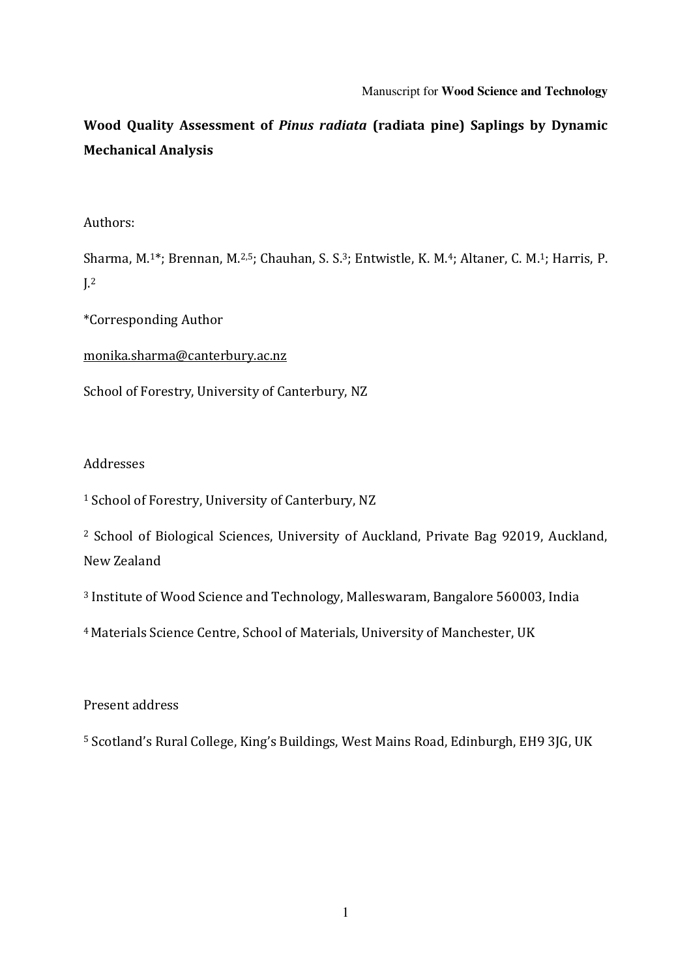## Wood Quality Assessment of Pinus radiata (radiata pine) Saplings by Dynamic Mechanical Analysis

Authors:

Sharma, M.<sup>1\*</sup>; Brennan, M.<sup>2,5</sup>; Chauhan, S. S.<sup>3</sup>; Entwistle, K. M.<sup>4</sup>; Altaner, C. M.<sup>1</sup>; Harris, P. J.2

\*Corresponding Author

monika.sharma@canterbury.ac.nz

School of Forestry, University of Canterbury, NZ

## Addresses

<sup>1</sup> School of Forestry, University of Canterbury, NZ

<sup>2</sup> School of Biological Sciences, University of Auckland, Private Bag 92019, Auckland, New Zealand

<sup>3</sup> Institute of Wood Science and Technology, Malleswaram, Bangalore 560003, India

<sup>4</sup>Materials Science Centre, School of Materials, University of Manchester, UK

Present address

<sup>5</sup> Scotland's Rural College, King's Buildings, West Mains Road, Edinburgh, EH9 3JG, UK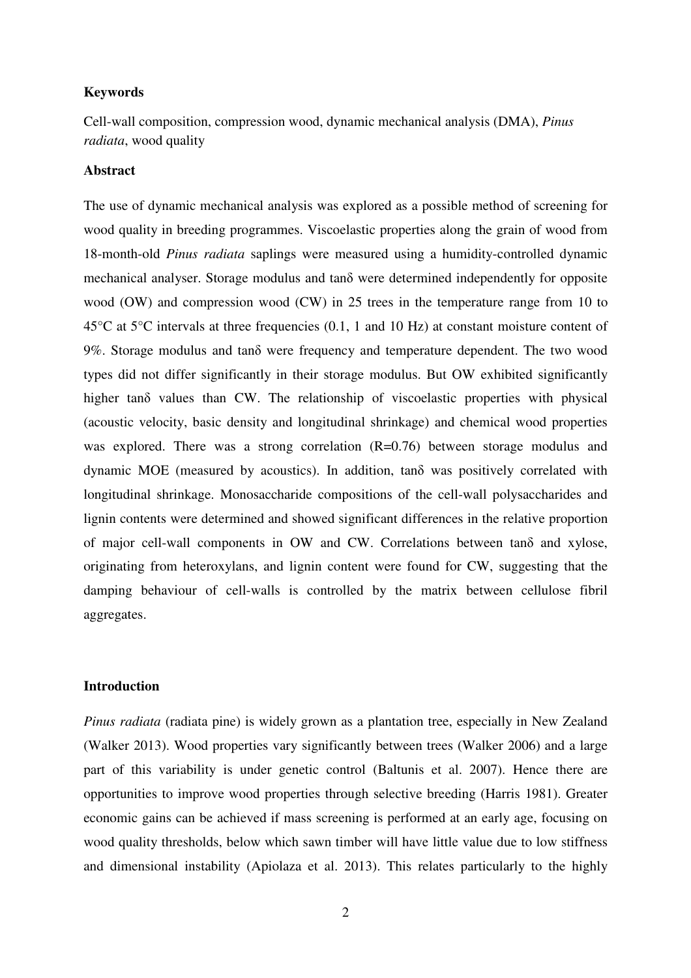#### **Keywords**

Cell-wall composition, compression wood, dynamic mechanical analysis (DMA), *Pinus radiata*, wood quality

#### **Abstract**

The use of dynamic mechanical analysis was explored as a possible method of screening for wood quality in breeding programmes. Viscoelastic properties along the grain of wood from 18-month-old *Pinus radiata* saplings were measured using a humidity-controlled dynamic mechanical analyser. Storage modulus and tanδ were determined independently for opposite wood (OW) and compression wood (CW) in 25 trees in the temperature range from 10 to 45<sup>o</sup>C at 5<sup>o</sup>C intervals at three frequencies (0.1, 1 and 10 Hz) at constant moisture content of 9%. Storage modulus and tanδ were frequency and temperature dependent. The two wood types did not differ significantly in their storage modulus. But OW exhibited significantly higher tanô values than CW. The relationship of viscoelastic properties with physical (acoustic velocity, basic density and longitudinal shrinkage) and chemical wood properties was explored. There was a strong correlation (R=0.76) between storage modulus and dynamic MOE (measured by acoustics). In addition, tanδ was positively correlated with longitudinal shrinkage. Monosaccharide compositions of the cell-wall polysaccharides and lignin contents were determined and showed significant differences in the relative proportion of major cell-wall components in OW and CW. Correlations between tanδ and xylose, originating from heteroxylans, and lignin content were found for CW, suggesting that the damping behaviour of cell-walls is controlled by the matrix between cellulose fibril aggregates.

#### **Introduction**

*Pinus radiata* (radiata pine) is widely grown as a plantation tree, especially in New Zealand (Walker 2013). Wood properties vary significantly between trees (Walker 2006) and a large part of this variability is under genetic control (Baltunis et al. 2007). Hence there are opportunities to improve wood properties through selective breeding (Harris 1981). Greater economic gains can be achieved if mass screening is performed at an early age, focusing on wood quality thresholds, below which sawn timber will have little value due to low stiffness and dimensional instability (Apiolaza et al. 2013). This relates particularly to the highly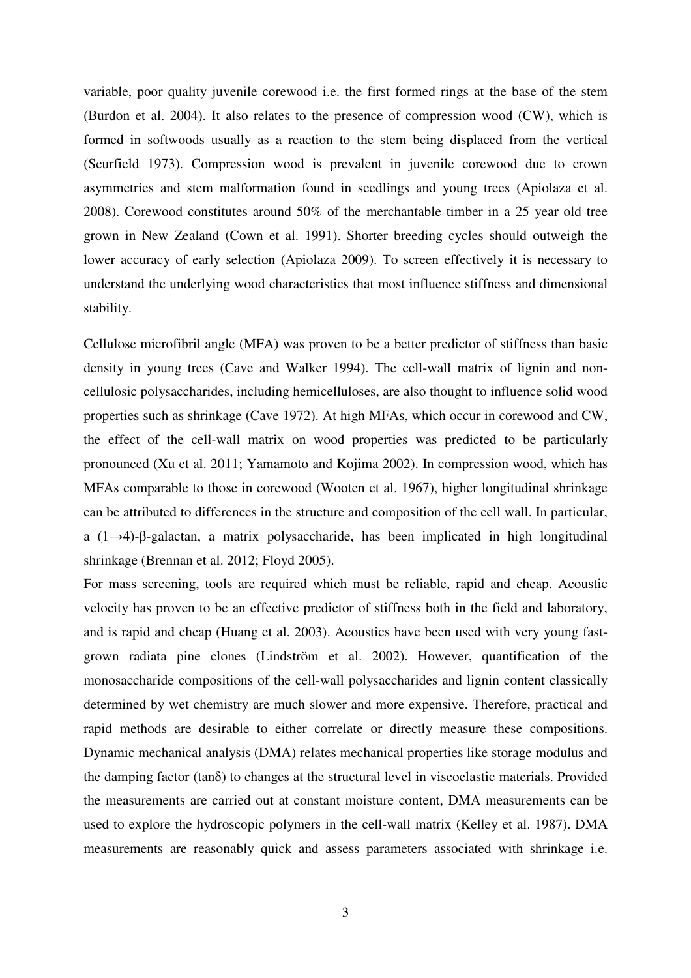variable, poor quality juvenile corewood i.e. the first formed rings at the base of the stem (Burdon et al. 2004). It also relates to the presence of compression wood (CW), which is formed in softwoods usually as a reaction to the stem being displaced from the vertical (Scurfield 1973). Compression wood is prevalent in juvenile corewood due to crown asymmetries and stem malformation found in seedlings and young trees (Apiolaza et al. 2008). Corewood constitutes around 50% of the merchantable timber in a 25 year old tree grown in New Zealand (Cown et al. 1991). Shorter breeding cycles should outweigh the lower accuracy of early selection (Apiolaza 2009). To screen effectively it is necessary to understand the underlying wood characteristics that most influence stiffness and dimensional stability.

Cellulose microfibril angle (MFA) was proven to be a better predictor of stiffness than basic density in young trees (Cave and Walker 1994). The cell-wall matrix of lignin and noncellulosic polysaccharides, including hemicelluloses, are also thought to influence solid wood properties such as shrinkage (Cave 1972). At high MFAs, which occur in corewood and CW, the effect of the cell-wall matrix on wood properties was predicted to be particularly pronounced (Xu et al. 2011; Yamamoto and Kojima 2002). In compression wood, which has MFAs comparable to those in corewood (Wooten et al. 1967), higher longitudinal shrinkage can be attributed to differences in the structure and composition of the cell wall. In particular, a  $(1\rightarrow 4)$ -β-galactan, a matrix polysaccharide, has been implicated in high longitudinal shrinkage (Brennan et al. 2012; Floyd 2005).

For mass screening, tools are required which must be reliable, rapid and cheap. Acoustic velocity has proven to be an effective predictor of stiffness both in the field and laboratory, and is rapid and cheap (Huang et al. 2003). Acoustics have been used with very young fastgrown radiata pine clones (Lindström et al. 2002). However, quantification of the monosaccharide compositions of the cell-wall polysaccharides and lignin content classically determined by wet chemistry are much slower and more expensive. Therefore, practical and rapid methods are desirable to either correlate or directly measure these compositions. Dynamic mechanical analysis (DMA) relates mechanical properties like storage modulus and the damping factor (tanδ) to changes at the structural level in viscoelastic materials. Provided the measurements are carried out at constant moisture content, DMA measurements can be used to explore the hydroscopic polymers in the cell-wall matrix (Kelley et al. 1987). DMA measurements are reasonably quick and assess parameters associated with shrinkage i.e.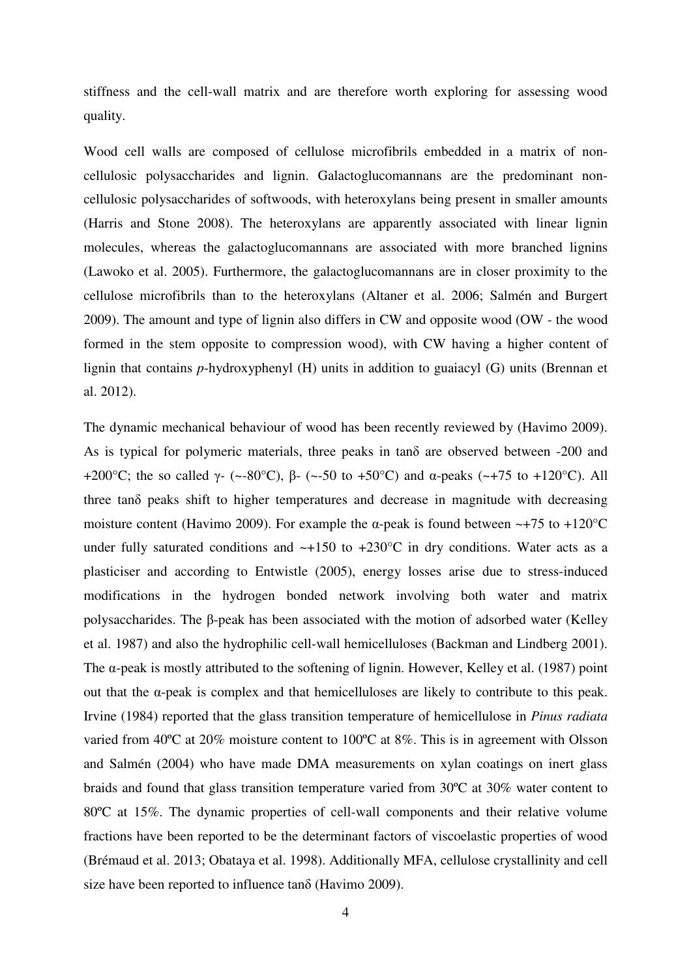stiffness and the cell-wall matrix and are therefore worth exploring for assessing wood quality.

Wood cell walls are composed of cellulose microfibrils embedded in a matrix of noncellulosic polysaccharides and lignin. Galactoglucomannans are the predominant noncellulosic polysaccharides of softwoods, with heteroxylans being present in smaller amounts (Harris and Stone 2008). The heteroxylans are apparently associated with linear lignin molecules, whereas the galactoglucomannans are associated with more branched lignins (Lawoko et al. 2005). Furthermore, the galactoglucomannans are in closer proximity to the cellulose microfibrils than to the heteroxylans (Altaner et al. 2006; Salmén and Burgert 2009). The amount and type of lignin also differs in CW and opposite wood (OW - the wood formed in the stem opposite to compression wood), with CW having a higher content of lignin that contains *p*-hydroxyphenyl (H) units in addition to guaiacyl (G) units (Brennan et al. 2012).

The dynamic mechanical behaviour of wood has been recently reviewed by (Havimo 2009). As is typical for polymeric materials, three peaks in tanδ are observed between -200 and  $+200\textdegree$ C; the so called γ- (~-80°C), β- (~-50 to +50°C) and α-peaks (~+75 to +120°C). All three tanδ peaks shift to higher temperatures and decrease in magnitude with decreasing moisture content (Havimo 2009). For example the  $\alpha$ -peak is found between ~+75 to +120°C under fully saturated conditions and  $\sim +150$  to  $+230^{\circ}$ C in dry conditions. Water acts as a plasticiser and according to Entwistle (2005), energy losses arise due to stress-induced modifications in the hydrogen bonded network involving both water and matrix polysaccharides. The β-peak has been associated with the motion of adsorbed water (Kelley et al. 1987) and also the hydrophilic cell-wall hemicelluloses (Backman and Lindberg 2001). The α-peak is mostly attributed to the softening of lignin. However, Kelley et al. (1987) point out that the α-peak is complex and that hemicelluloses are likely to contribute to this peak. Irvine (1984) reported that the glass transition temperature of hemicellulose in *Pinus radiata* varied from 40ºC at 20% moisture content to 100ºC at 8%. This is in agreement with Olsson and Salmén (2004) who have made DMA measurements on xylan coatings on inert glass braids and found that glass transition temperature varied from 30ºC at 30% water content to 80ºC at 15%. The dynamic properties of cell-wall components and their relative volume fractions have been reported to be the determinant factors of viscoelastic properties of wood (Brémaud et al. 2013; Obataya et al. 1998). Additionally MFA, cellulose crystallinity and cell size have been reported to influence tanδ (Havimo 2009).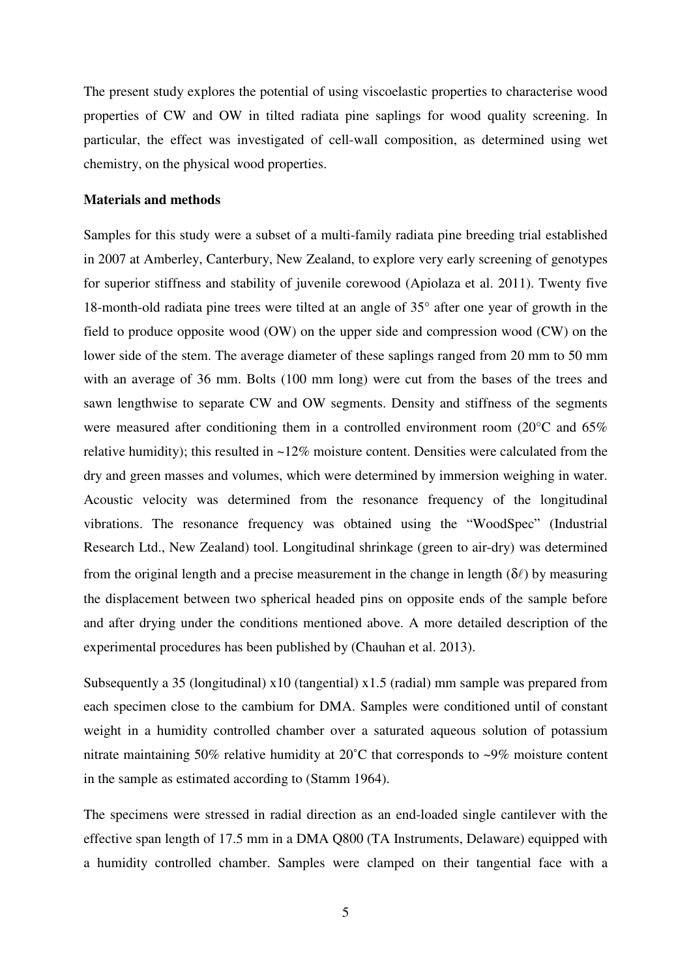The present study explores the potential of using viscoelastic properties to characterise wood properties of CW and OW in tilted radiata pine saplings for wood quality screening. In particular, the effect was investigated of cell-wall composition, as determined using wet chemistry, on the physical wood properties.

#### **Materials and methods**

Samples for this study were a subset of a multi-family radiata pine breeding trial established in 2007 at Amberley, Canterbury, New Zealand, to explore very early screening of genotypes for superior stiffness and stability of juvenile corewood (Apiolaza et al. 2011). Twenty five 18-month-old radiata pine trees were tilted at an angle of 35° after one year of growth in the field to produce opposite wood (OW) on the upper side and compression wood (CW) on the lower side of the stem. The average diameter of these saplings ranged from 20 mm to 50 mm with an average of 36 mm. Bolts (100 mm long) were cut from the bases of the trees and sawn lengthwise to separate CW and OW segments. Density and stiffness of the segments were measured after conditioning them in a controlled environment room (20°C and 65% relative humidity); this resulted in  $\sim$ 12% moisture content. Densities were calculated from the dry and green masses and volumes, which were determined by immersion weighing in water. Acoustic velocity was determined from the resonance frequency of the longitudinal vibrations. The resonance frequency was obtained using the "WoodSpec" (Industrial Research Ltd., New Zealand) tool. Longitudinal shrinkage (green to air-dry) was determined from the original length and a precise measurement in the change in length ( $\delta\ell$ ) by measuring the displacement between two spherical headed pins on opposite ends of the sample before and after drying under the conditions mentioned above. A more detailed description of the experimental procedures has been published by (Chauhan et al. 2013).

Subsequently a 35 (longitudinal) x10 (tangential) x1.5 (radial) mm sample was prepared from each specimen close to the cambium for DMA. Samples were conditioned until of constant weight in a humidity controlled chamber over a saturated aqueous solution of potassium nitrate maintaining 50% relative humidity at 20˚C that corresponds to ~9% moisture content in the sample as estimated according to (Stamm 1964).

The specimens were stressed in radial direction as an end-loaded single cantilever with the effective span length of 17.5 mm in a DMA Q800 (TA Instruments, Delaware) equipped with a humidity controlled chamber. Samples were clamped on their tangential face with a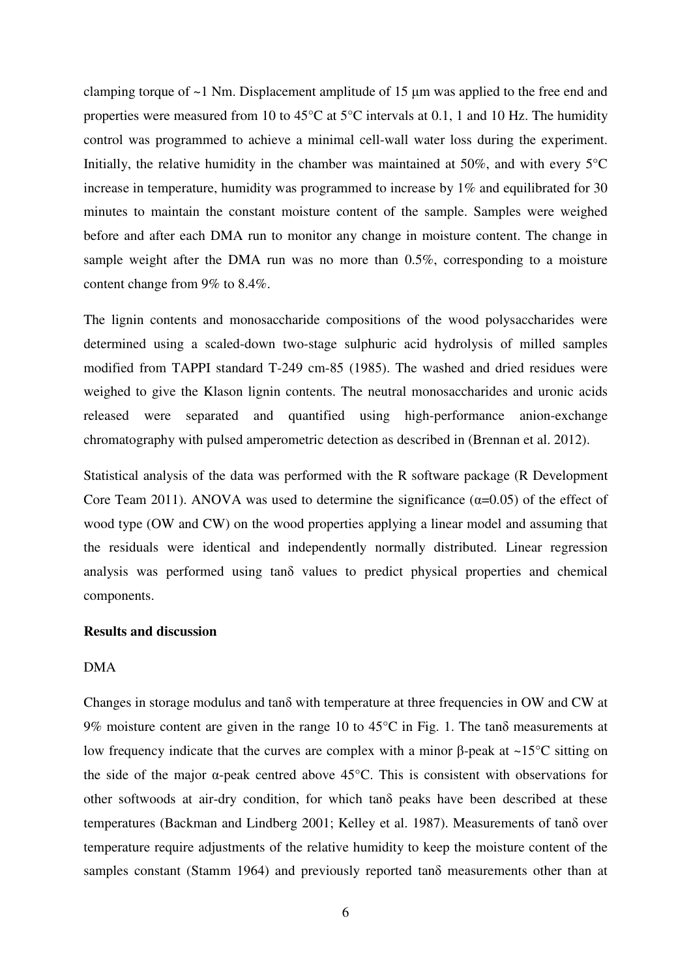clamping torque of ~1 Nm. Displacement amplitude of 15 µm was applied to the free end and properties were measured from 10 to 45°C at 5°C intervals at 0.1, 1 and 10 Hz. The humidity control was programmed to achieve a minimal cell-wall water loss during the experiment. Initially, the relative humidity in the chamber was maintained at 50%, and with every  $5^{\circ}$ C increase in temperature, humidity was programmed to increase by 1% and equilibrated for 30 minutes to maintain the constant moisture content of the sample. Samples were weighed before and after each DMA run to monitor any change in moisture content. The change in sample weight after the DMA run was no more than 0.5%, corresponding to a moisture content change from 9% to 8.4%.

The lignin contents and monosaccharide compositions of the wood polysaccharides were determined using a scaled-down two-stage sulphuric acid hydrolysis of milled samples modified from TAPPI standard T-249 cm-85 (1985). The washed and dried residues were weighed to give the Klason lignin contents. The neutral monosaccharides and uronic acids released were separated and quantified using high-performance anion-exchange chromatography with pulsed amperometric detection as described in (Brennan et al. 2012).

Statistical analysis of the data was performed with the R software package (R Development Core Team 2011). ANOVA was used to determine the significance  $(\alpha=0.05)$  of the effect of wood type (OW and CW) on the wood properties applying a linear model and assuming that the residuals were identical and independently normally distributed. Linear regression analysis was performed using tanδ values to predict physical properties and chemical components.

#### **Results and discussion**

#### DMA

Changes in storage modulus and tanδ with temperature at three frequencies in OW and CW at 9% moisture content are given in the range 10 to 45°C in Fig. 1. The tanδ measurements at low frequency indicate that the curves are complex with a minor β-peak at ~15°C sitting on the side of the major  $\alpha$ -peak centred above 45°C. This is consistent with observations for other softwoods at air-dry condition, for which tanδ peaks have been described at these temperatures (Backman and Lindberg 2001; Kelley et al. 1987). Measurements of tanδ over temperature require adjustments of the relative humidity to keep the moisture content of the samples constant (Stamm 1964) and previously reported tanδ measurements other than at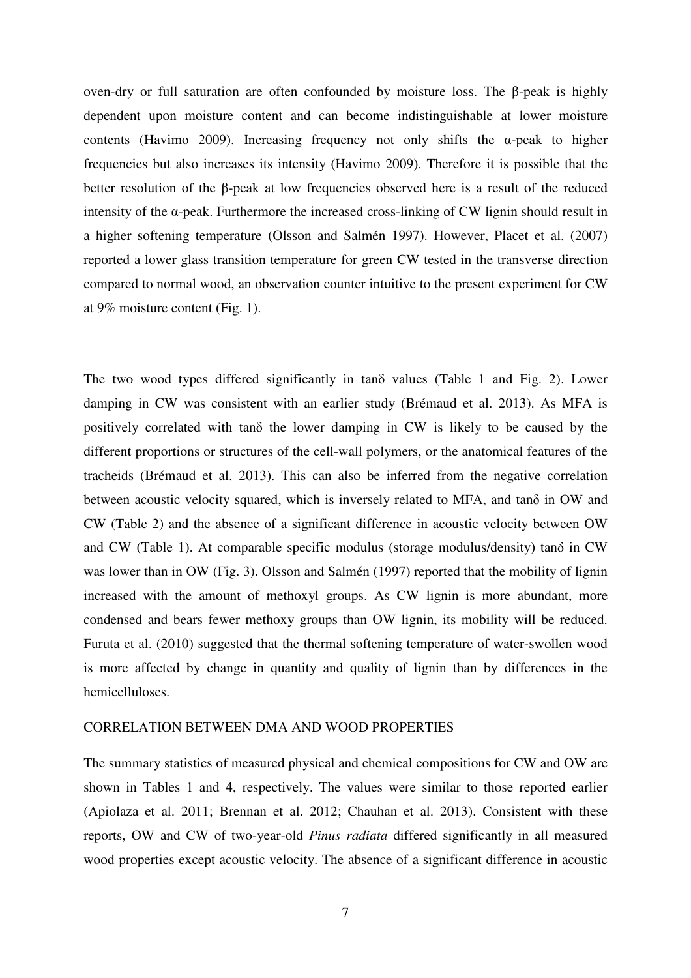oven-dry or full saturation are often confounded by moisture loss. The β-peak is highly dependent upon moisture content and can become indistinguishable at lower moisture contents (Havimo 2009). Increasing frequency not only shifts the α-peak to higher frequencies but also increases its intensity (Havimo 2009). Therefore it is possible that the better resolution of the β-peak at low frequencies observed here is a result of the reduced intensity of the  $\alpha$ -peak. Furthermore the increased cross-linking of CW lignin should result in a higher softening temperature (Olsson and Salmén 1997). However, Placet et al. (2007) reported a lower glass transition temperature for green CW tested in the transverse direction compared to normal wood, an observation counter intuitive to the present experiment for CW at 9% moisture content (Fig. 1).

The two wood types differed significantly in tanδ values (Table 1 and Fig. 2). Lower damping in CW was consistent with an earlier study (Brémaud et al. 2013). As MFA is positively correlated with tanδ the lower damping in CW is likely to be caused by the different proportions or structures of the cell-wall polymers, or the anatomical features of the tracheids (Brémaud et al. 2013). This can also be inferred from the negative correlation between acoustic velocity squared, which is inversely related to MFA, and tanδ in OW and CW (Table 2) and the absence of a significant difference in acoustic velocity between OW and CW (Table 1). At comparable specific modulus (storage modulus/density) tanδ in CW was lower than in OW (Fig. 3). Olsson and Salmén (1997) reported that the mobility of lignin increased with the amount of methoxyl groups. As CW lignin is more abundant, more condensed and bears fewer methoxy groups than OW lignin, its mobility will be reduced. Furuta et al. (2010) suggested that the thermal softening temperature of water-swollen wood is more affected by change in quantity and quality of lignin than by differences in the hemicelluloses.

#### CORRELATION BETWEEN DMA AND WOOD PROPERTIES

The summary statistics of measured physical and chemical compositions for CW and OW are shown in Tables 1 and 4, respectively. The values were similar to those reported earlier (Apiolaza et al. 2011; Brennan et al. 2012; Chauhan et al. 2013). Consistent with these reports, OW and CW of two-year-old *Pinus radiata* differed significantly in all measured wood properties except acoustic velocity. The absence of a significant difference in acoustic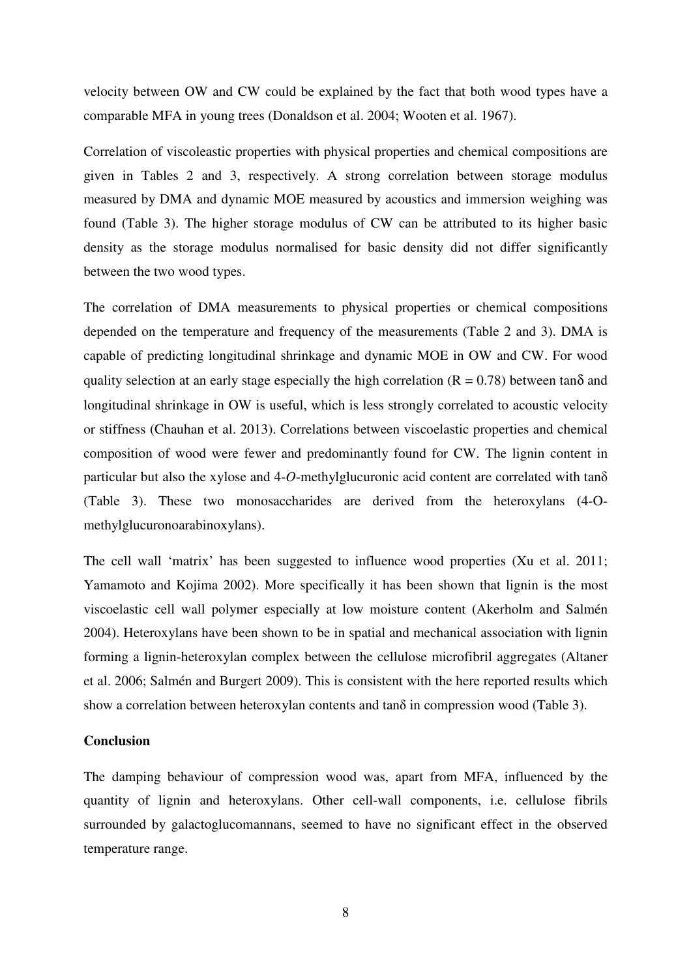velocity between OW and CW could be explained by the fact that both wood types have a comparable MFA in young trees (Donaldson et al. 2004; Wooten et al. 1967).

Correlation of viscoleastic properties with physical properties and chemical compositions are given in Tables 2 and 3, respectively. A strong correlation between storage modulus measured by DMA and dynamic MOE measured by acoustics and immersion weighing was found (Table 3). The higher storage modulus of CW can be attributed to its higher basic density as the storage modulus normalised for basic density did not differ significantly between the two wood types.

The correlation of DMA measurements to physical properties or chemical compositions depended on the temperature and frequency of the measurements (Table 2 and 3). DMA is capable of predicting longitudinal shrinkage and dynamic MOE in OW and CW. For wood quality selection at an early stage especially the high correlation ( $R = 0.78$ ) between tan $\delta$  and longitudinal shrinkage in OW is useful, which is less strongly correlated to acoustic velocity or stiffness (Chauhan et al. 2013). Correlations between viscoelastic properties and chemical composition of wood were fewer and predominantly found for CW. The lignin content in particular but also the xylose and 4-*O*-methylglucuronic acid content are correlated with tanδ (Table 3). These two monosaccharides are derived from the heteroxylans (4-Omethylglucuronoarabinoxylans).

The cell wall 'matrix' has been suggested to influence wood properties (Xu et al. 2011; Yamamoto and Kojima 2002). More specifically it has been shown that lignin is the most viscoelastic cell wall polymer especially at low moisture content (Akerholm and Salmén 2004). Heteroxylans have been shown to be in spatial and mechanical association with lignin forming a lignin-heteroxylan complex between the cellulose microfibril aggregates (Altaner et al. 2006; Salmén and Burgert 2009). This is consistent with the here reported results which show a correlation between heteroxylan contents and tanδ in compression wood (Table 3).

#### **Conclusion**

The damping behaviour of compression wood was, apart from MFA, influenced by the quantity of lignin and heteroxylans. Other cell-wall components, i.e. cellulose fibrils surrounded by galactoglucomannans, seemed to have no significant effect in the observed temperature range.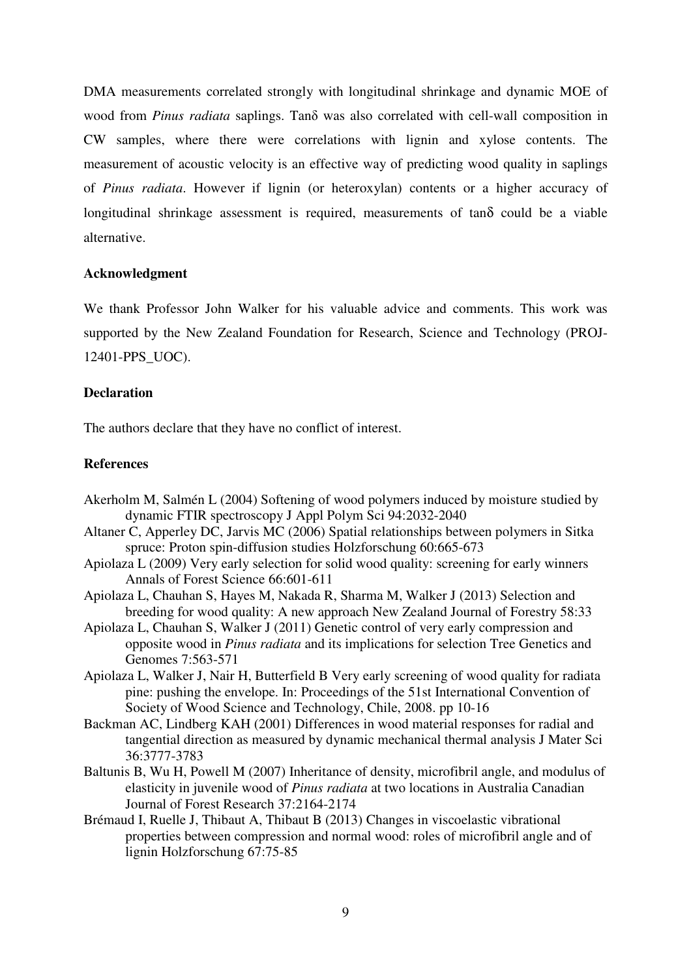DMA measurements correlated strongly with longitudinal shrinkage and dynamic MOE of wood from *Pinus radiata* saplings. Tanδ was also correlated with cell-wall composition in CW samples, where there were correlations with lignin and xylose contents. The measurement of acoustic velocity is an effective way of predicting wood quality in saplings of *Pinus radiata*. However if lignin (or heteroxylan) contents or a higher accuracy of longitudinal shrinkage assessment is required, measurements of tanδ could be a viable alternative.

#### **Acknowledgment**

We thank Professor John Walker for his valuable advice and comments. This work was supported by the New Zealand Foundation for Research, Science and Technology (PROJ-12401-PPS\_UOC).

#### **Declaration**

The authors declare that they have no conflict of interest.

#### **References**

- Akerholm M, Salmén L (2004) Softening of wood polymers induced by moisture studied by dynamic FTIR spectroscopy J Appl Polym Sci 94:2032-2040
- Altaner C, Apperley DC, Jarvis MC (2006) Spatial relationships between polymers in Sitka spruce: Proton spin-diffusion studies Holzforschung 60:665-673
- Apiolaza L (2009) Very early selection for solid wood quality: screening for early winners Annals of Forest Science 66:601-611
- Apiolaza L, Chauhan S, Hayes M, Nakada R, Sharma M, Walker J (2013) Selection and breeding for wood quality: A new approach New Zealand Journal of Forestry 58:33
- Apiolaza L, Chauhan S, Walker J (2011) Genetic control of very early compression and opposite wood in *Pinus radiata* and its implications for selection Tree Genetics and Genomes 7:563-571
- Apiolaza L, Walker J, Nair H, Butterfield B Very early screening of wood quality for radiata pine: pushing the envelope. In: Proceedings of the 51st International Convention of Society of Wood Science and Technology, Chile, 2008. pp 10-16
- Backman AC, Lindberg KAH (2001) Differences in wood material responses for radial and tangential direction as measured by dynamic mechanical thermal analysis J Mater Sci 36:3777-3783
- Baltunis B, Wu H, Powell M (2007) Inheritance of density, microfibril angle, and modulus of elasticity in juvenile wood of *Pinus radiata* at two locations in Australia Canadian Journal of Forest Research 37:2164-2174
- Brémaud I, Ruelle J, Thibaut A, Thibaut B (2013) Changes in viscoelastic vibrational properties between compression and normal wood: roles of microfibril angle and of lignin Holzforschung 67:75-85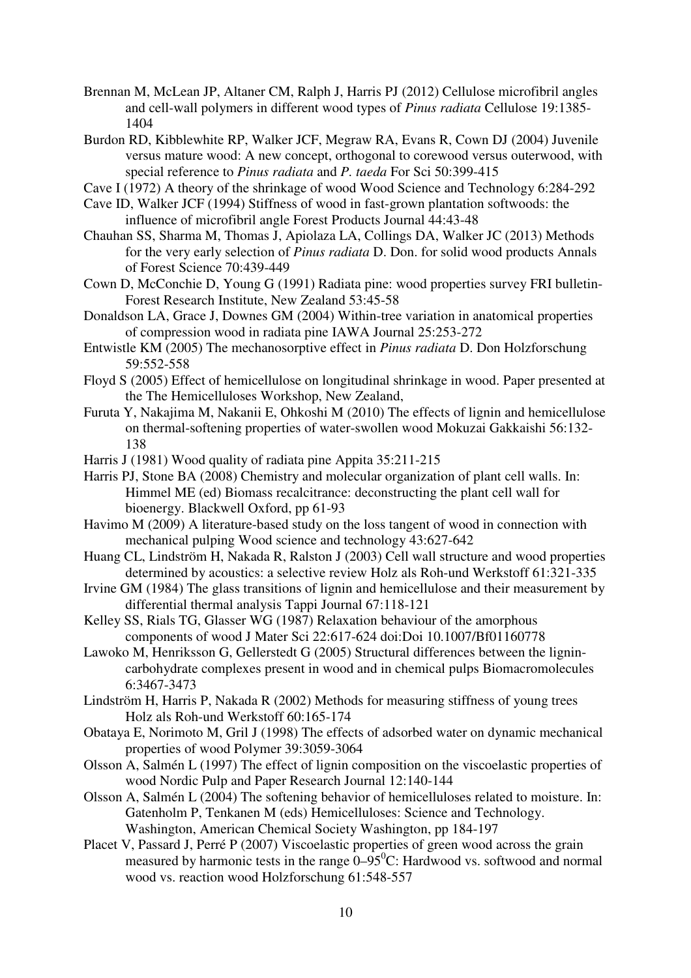Brennan M, McLean JP, Altaner CM, Ralph J, Harris PJ (2012) Cellulose microfibril angles and cell-wall polymers in different wood types of *Pinus radiata* Cellulose 19:1385- 1404

- Burdon RD, Kibblewhite RP, Walker JCF, Megraw RA, Evans R, Cown DJ (2004) Juvenile versus mature wood: A new concept, orthogonal to corewood versus outerwood, with special reference to *Pinus radiata* and *P. taeda* For Sci 50:399-415
- Cave I (1972) A theory of the shrinkage of wood Wood Science and Technology 6:284-292
- Cave ID, Walker JCF (1994) Stiffness of wood in fast-grown plantation softwoods: the influence of microfibril angle Forest Products Journal 44:43-48
- Chauhan SS, Sharma M, Thomas J, Apiolaza LA, Collings DA, Walker JC (2013) Methods for the very early selection of *Pinus radiata* D. Don. for solid wood products Annals of Forest Science 70:439-449
- Cown D, McConchie D, Young G (1991) Radiata pine: wood properties survey FRI bulletin-Forest Research Institute, New Zealand 53:45-58
- Donaldson LA, Grace J, Downes GM (2004) Within-tree variation in anatomical properties of compression wood in radiata pine IAWA Journal 25:253-272
- Entwistle KM (2005) The mechanosorptive effect in *Pinus radiata* D. Don Holzforschung 59:552-558
- Floyd S (2005) Effect of hemicellulose on longitudinal shrinkage in wood. Paper presented at the The Hemicelluloses Workshop, New Zealand,
- Furuta Y, Nakajima M, Nakanii E, Ohkoshi M (2010) The effects of lignin and hemicellulose on thermal-softening properties of water-swollen wood Mokuzai Gakkaishi 56:132- 138
- Harris J (1981) Wood quality of radiata pine Appita 35:211-215
- Harris PJ, Stone BA (2008) Chemistry and molecular organization of plant cell walls. In: Himmel ME (ed) Biomass recalcitrance: deconstructing the plant cell wall for bioenergy. Blackwell Oxford, pp 61-93
- Havimo M (2009) A literature-based study on the loss tangent of wood in connection with mechanical pulping Wood science and technology 43:627-642
- Huang CL, Lindström H, Nakada R, Ralston J (2003) Cell wall structure and wood properties determined by acoustics: a selective review Holz als Roh-und Werkstoff 61:321-335
- Irvine GM (1984) The glass transitions of lignin and hemicellulose and their measurement by differential thermal analysis Tappi Journal 67:118-121
- Kelley SS, Rials TG, Glasser WG (1987) Relaxation behaviour of the amorphous components of wood J Mater Sci 22:617-624 doi:Doi 10.1007/Bf01160778
- Lawoko M, Henriksson G, Gellerstedt G (2005) Structural differences between the lignincarbohydrate complexes present in wood and in chemical pulps Biomacromolecules 6:3467-3473
- Lindström H, Harris P, Nakada R (2002) Methods for measuring stiffness of young trees Holz als Roh-und Werkstoff 60:165-174
- Obataya E, Norimoto M, Gril J (1998) The effects of adsorbed water on dynamic mechanical properties of wood Polymer 39:3059-3064
- Olsson A, Salmén L (1997) The effect of lignin composition on the viscoelastic properties of wood Nordic Pulp and Paper Research Journal 12:140-144
- Olsson A, Salmén L (2004) The softening behavior of hemicelluloses related to moisture. In: Gatenholm P, Tenkanen M (eds) Hemicelluloses: Science and Technology. Washington, American Chemical Society Washington, pp 184-197
- Placet V, Passard J, Perré P (2007) Viscoelastic properties of green wood across the grain measured by harmonic tests in the range  $0-95^{\circ}$ C: Hardwood vs. softwood and normal wood vs. reaction wood Holzforschung 61:548-557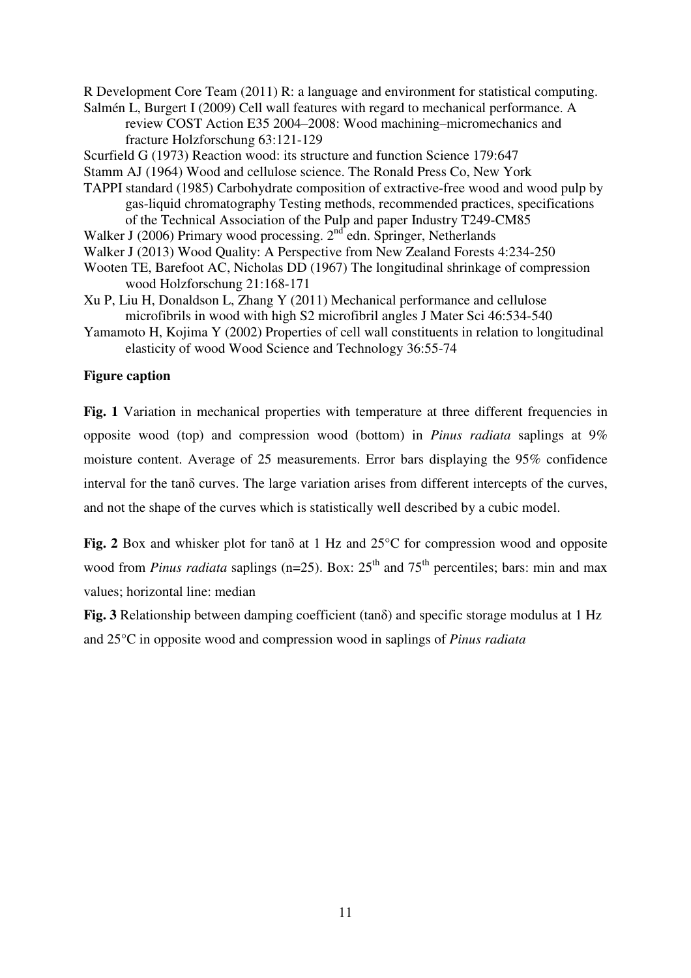R Development Core Team (2011) R: a language and environment for statistical computing.

Salmén L, Burgert I (2009) Cell wall features with regard to mechanical performance. A review COST Action E35 2004–2008: Wood machining–micromechanics and fracture Holzforschung 63:121-129

Scurfield G (1973) Reaction wood: its structure and function Science 179:647

- Stamm AJ (1964) Wood and cellulose science. The Ronald Press Co, New York
- TAPPI standard (1985) Carbohydrate composition of extractive-free wood and wood pulp by gas-liquid chromatography Testing methods, recommended practices, specifications of the Technical Association of the Pulp and paper Industry T249-CM85
- Walker J (2006) Primary wood processing. 2<sup>nd</sup> edn. Springer, Netherlands
- Walker J (2013) Wood Quality: A Perspective from New Zealand Forests 4:234-250
- Wooten TE, Barefoot AC, Nicholas DD (1967) The longitudinal shrinkage of compression wood Holzforschung 21:168-171
- Xu P, Liu H, Donaldson L, Zhang Y (2011) Mechanical performance and cellulose microfibrils in wood with high S2 microfibril angles J Mater Sci 46:534-540
- Yamamoto H, Kojima Y (2002) Properties of cell wall constituents in relation to longitudinal elasticity of wood Wood Science and Technology 36:55-74

### **Figure caption**

Fig. 1 Variation in mechanical properties with temperature at three different frequencies in opposite wood (top) and compression wood (bottom) in *Pinus radiata* saplings at 9% moisture content. Average of 25 measurements. Error bars displaying the 95% confidence interval for the tanδ curves. The large variation arises from different intercepts of the curves, and not the shape of the curves which is statistically well described by a cubic model.

**Fig. 2** Box and whisker plot for tanδ at 1 Hz and 25°C for compression wood and opposite wood from *Pinus radiata* saplings ( $n=25$ ). Box:  $25<sup>th</sup>$  and  $75<sup>th</sup>$  percentiles; bars: min and max values; horizontal line: median

**Fig. 3** Relationship between damping coefficient (tanδ) and specific storage modulus at 1 Hz and 25°C in opposite wood and compression wood in saplings of *Pinus radiata*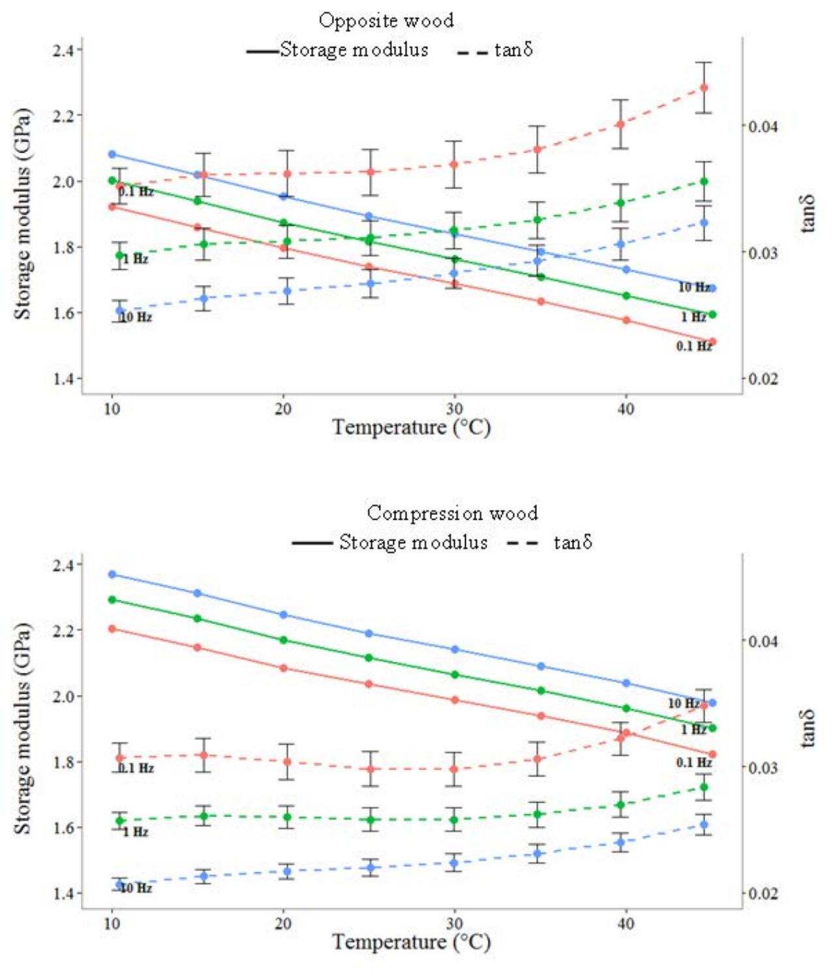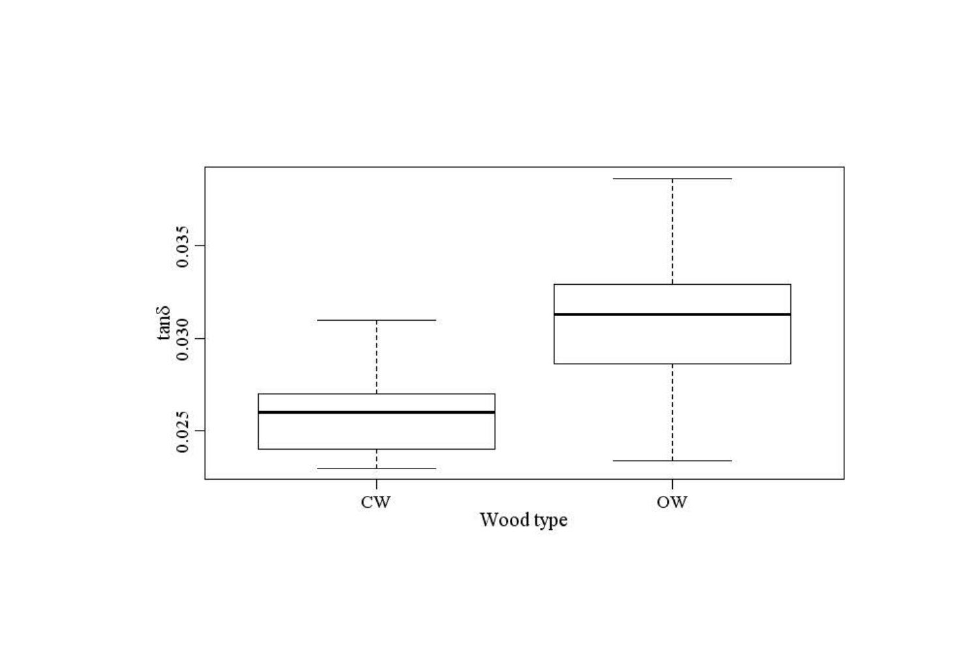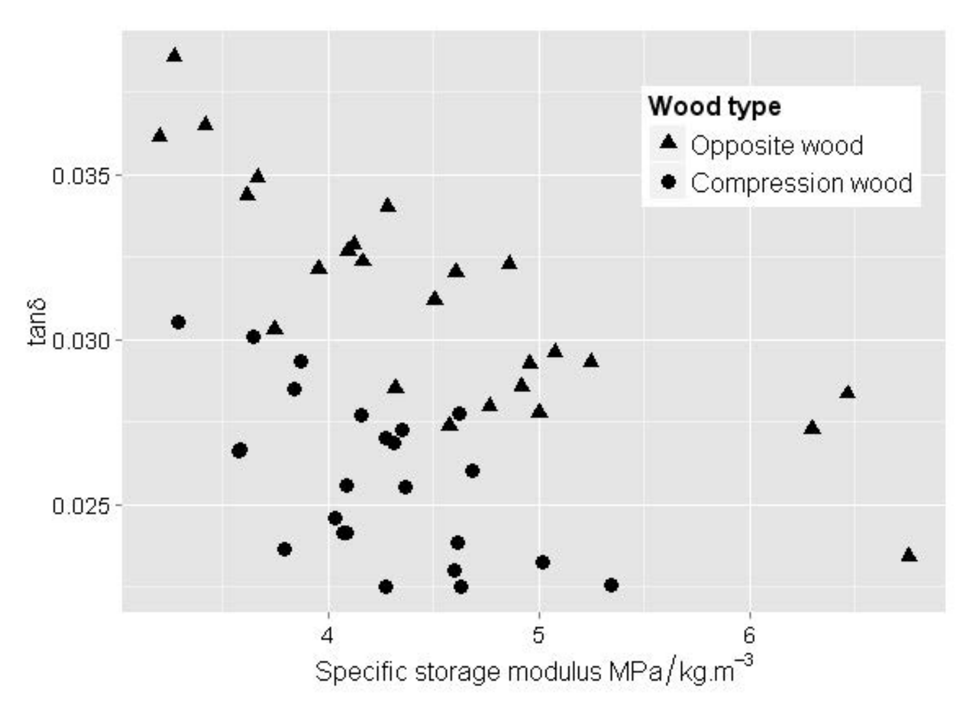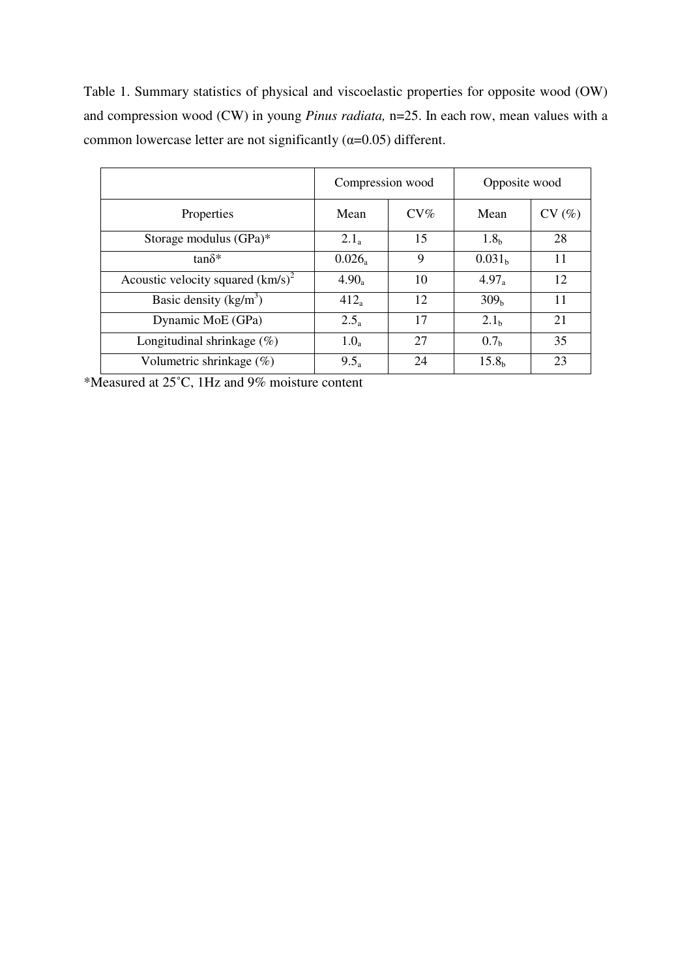Table 1. Summary statistics of physical and viscoelastic properties for opposite wood (OW) and compression wood (CW) in young *Pinus radiata,* n=25. In each row, mean values with a common lowercase letter are not significantly  $(\alpha=0.05)$  different.

|                                      | Compression wood |        | Opposite wood      |       |  |
|--------------------------------------|------------------|--------|--------------------|-------|--|
| Properties                           | Mean             | $CV\%$ | Mean               | CV(%) |  |
| Storage modulus (GPa)*               | $2.1_a$          | 15     | 1.8 <sub>b</sub>   | 28    |  |
| $tan\delta^*$                        | $0.026_a$        | 9      | 0.031 <sub>b</sub> | 11    |  |
| Acoustic velocity squared $(km/s)^2$ | $4.90_a$         | 10     | $4.97_a$           | 12    |  |
| Basic density $(kg/m3)$              | $412_a$          | 12     | 309 <sub>h</sub>   | 11    |  |
| Dynamic MoE (GPa)                    | $2.5_a$          | 17     | 2.1 <sub>b</sub>   | 21    |  |
| Longitudinal shrinkage $(\%)$        | $1.0_a$          | 27     | 0.7 <sub>b</sub>   | 35    |  |
| Volumetric shrinkage $(\%)$          | $9.5_a$          | 24     | 15.8 <sub>b</sub>  | 23    |  |

\*Measured at 25˚C, 1Hz and 9% moisture content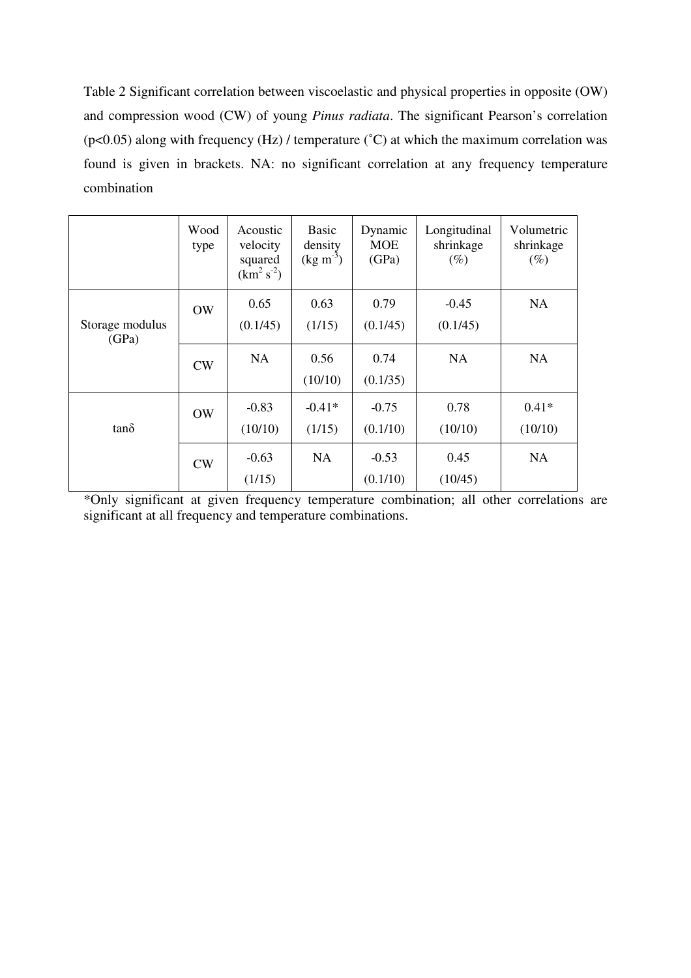Table 2 Significant correlation between viscoelastic and physical properties in opposite (OW) and compression wood (CW) of young *Pinus radiata*. The significant Pearson's correlation ( $p<0.05$ ) along with frequency (Hz) / temperature ( $^{\circ}$ C) at which the maximum correlation was found is given in brackets. NA: no significant correlation at any frequency temperature combination

|                          | Wood<br>type | Acoustic<br>velocity<br>squared<br>$(km^2 s^2)$ | <b>Basic</b><br>density<br>$(\text{kg m}^{-3})$ | Dynamic<br><b>MOE</b><br>(GPa) | Longitudinal<br>shrinkage<br>$(\%)$ | Volumetric<br>shrinkage<br>$(\%)$ |
|--------------------------|--------------|-------------------------------------------------|-------------------------------------------------|--------------------------------|-------------------------------------|-----------------------------------|
| Storage modulus<br>(GPa) | <b>OW</b>    | 0.65<br>(0.1/45)                                | 0.63<br>(1/15)                                  | 0.79<br>(0.1/45)               | $-0.45$<br>(0.1/45)                 | <b>NA</b>                         |
|                          | CW           | <b>NA</b>                                       | 0.56<br>(10/10)                                 | 0.74<br>(0.1/35)               | <b>NA</b>                           | <b>NA</b>                         |
| $tan\delta$              | <b>OW</b>    | $-0.83$<br>(10/10)                              | $-0.41*$<br>(1/15)                              | $-0.75$<br>(0.1/10)            | 0.78<br>(10/10)                     | $0.41*$<br>(10/10)                |
|                          | CW           | $-0.63$<br>(1/15)                               | <b>NA</b>                                       | $-0.53$<br>(0.1/10)            | 0.45<br>(10/45)                     | <b>NA</b>                         |

\*Only significant at given frequency temperature combination; all other correlations are significant at all frequency and temperature combinations.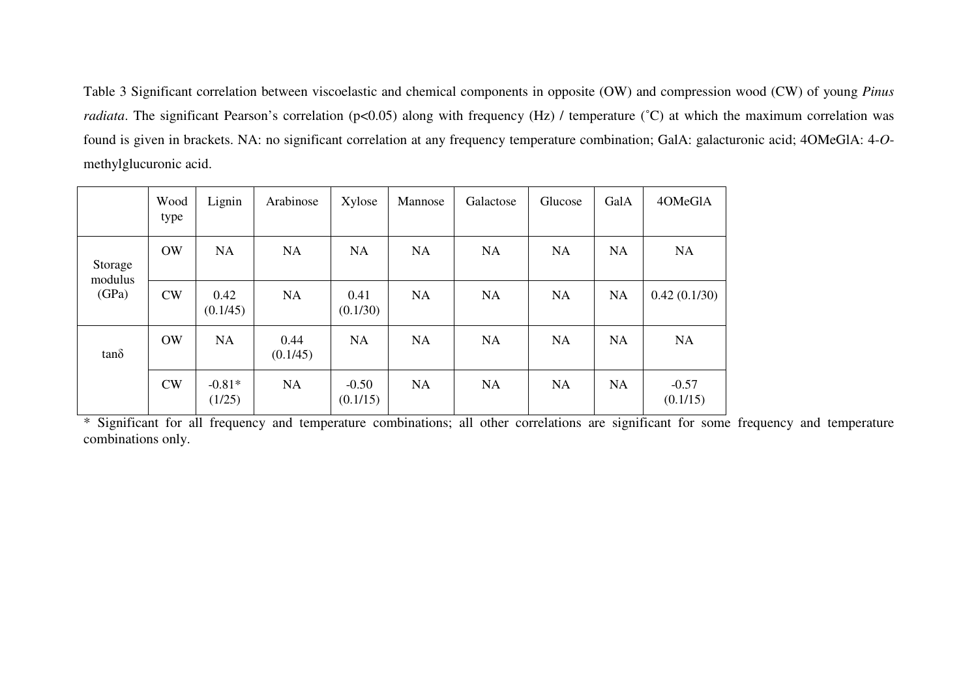Table 3 Significant correlation between viscoelastic and chemical components in opposite (OW) and compression wood (CW) of young *Pinus radiata*. The significant Pearson's correlation (p<0.05) along with frequency (Hz) / temperature (°C) at which the maximum correlation was found is given in brackets. NA: no significant correlation at any frequency temperature combination; GalA: galacturonic acid; 4OMeGlA: 4-*O*methylglucuronic acid.

|                    | Wood<br>type | Lignin             | Arabinose        | Xylose              | Mannose   | Galactose | Glucose   | GalA      | 40MeGlA             |
|--------------------|--------------|--------------------|------------------|---------------------|-----------|-----------|-----------|-----------|---------------------|
| Storage<br>modulus | <b>OW</b>    | <b>NA</b>          | <b>NA</b>        | <b>NA</b>           | <b>NA</b> | <b>NA</b> | NA        | <b>NA</b> | <b>NA</b>           |
| (GPa)              | <b>CW</b>    | 0.42<br>(0.1/45)   | <b>NA</b>        | 0.41<br>(0.1/30)    | <b>NA</b> | <b>NA</b> | NA        | <b>NA</b> | 0.42(0.1/30)        |
| $tan\delta$        | <b>OW</b>    | <b>NA</b>          | 0.44<br>(0.1/45) | <b>NA</b>           | <b>NA</b> | <b>NA</b> | <b>NA</b> | <b>NA</b> | <b>NA</b>           |
|                    | <b>CW</b>    | $-0.81*$<br>(1/25) | <b>NA</b>        | $-0.50$<br>(0.1/15) | <b>NA</b> | <b>NA</b> | NA        | <b>NA</b> | $-0.57$<br>(0.1/15) |

\* Significant for all frequency and temperature combinations; all other correlations are significant for some frequency and temperature combinations only.